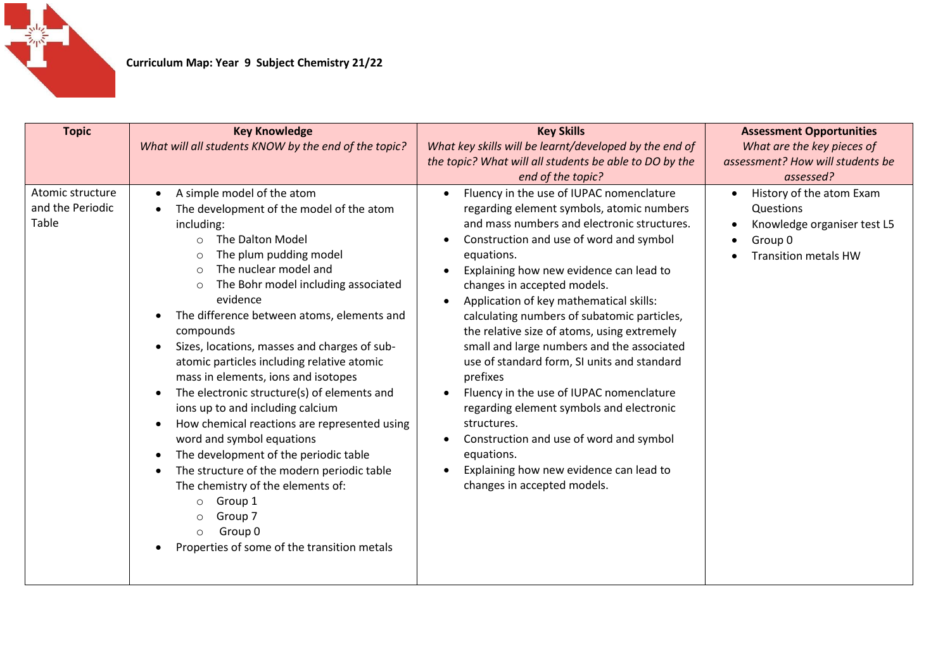

| <b>Topic</b>                                  | <b>Key Knowledge</b><br>What will all students KNOW by the end of the topic?                                                                                                                                                                                                                                                                                                                                                                                                                                                                                                                                                                                                                                                                                                                                                                                                                             | <b>Key Skills</b><br>What key skills will be learnt/developed by the end of<br>the topic? What will all students be able to DO by the<br>end of the topic?                                                                                                                                                                                                                                                                                                                                                                                                                                                                                                                                                                                                                                    | <b>Assessment Opportunities</b><br>What are the key pieces of<br>assessment? How will students be<br>assessed? |
|-----------------------------------------------|----------------------------------------------------------------------------------------------------------------------------------------------------------------------------------------------------------------------------------------------------------------------------------------------------------------------------------------------------------------------------------------------------------------------------------------------------------------------------------------------------------------------------------------------------------------------------------------------------------------------------------------------------------------------------------------------------------------------------------------------------------------------------------------------------------------------------------------------------------------------------------------------------------|-----------------------------------------------------------------------------------------------------------------------------------------------------------------------------------------------------------------------------------------------------------------------------------------------------------------------------------------------------------------------------------------------------------------------------------------------------------------------------------------------------------------------------------------------------------------------------------------------------------------------------------------------------------------------------------------------------------------------------------------------------------------------------------------------|----------------------------------------------------------------------------------------------------------------|
| Atomic structure<br>and the Periodic<br>Table | A simple model of the atom<br>$\bullet$<br>The development of the model of the atom<br>including:<br>The Dalton Model<br>$\circ$<br>The plum pudding model<br>Ω<br>The nuclear model and<br>$\circ$<br>The Bohr model including associated<br>$\circ$<br>evidence<br>The difference between atoms, elements and<br>compounds<br>Sizes, locations, masses and charges of sub-<br>$\bullet$<br>atomic particles including relative atomic<br>mass in elements, ions and isotopes<br>The electronic structure(s) of elements and<br>ions up to and including calcium<br>How chemical reactions are represented using<br>word and symbol equations<br>The development of the periodic table<br>The structure of the modern periodic table<br>$\bullet$<br>The chemistry of the elements of:<br>Group 1<br>$\circ$<br>Group 7<br>$\circ$<br>Group 0<br>$\circ$<br>Properties of some of the transition metals | Fluency in the use of IUPAC nomenclature<br>$\bullet$<br>regarding element symbols, atomic numbers<br>and mass numbers and electronic structures.<br>Construction and use of word and symbol<br>equations.<br>Explaining how new evidence can lead to<br>$\bullet$<br>changes in accepted models.<br>Application of key mathematical skills:<br>calculating numbers of subatomic particles,<br>the relative size of atoms, using extremely<br>small and large numbers and the associated<br>use of standard form, SI units and standard<br>prefixes<br>Fluency in the use of IUPAC nomenclature<br>regarding element symbols and electronic<br>structures.<br>Construction and use of word and symbol<br>equations.<br>Explaining how new evidence can lead to<br>changes in accepted models. | History of the atom Exam<br>Questions<br>Knowledge organiser test L5<br>Group 0<br><b>Transition metals HW</b> |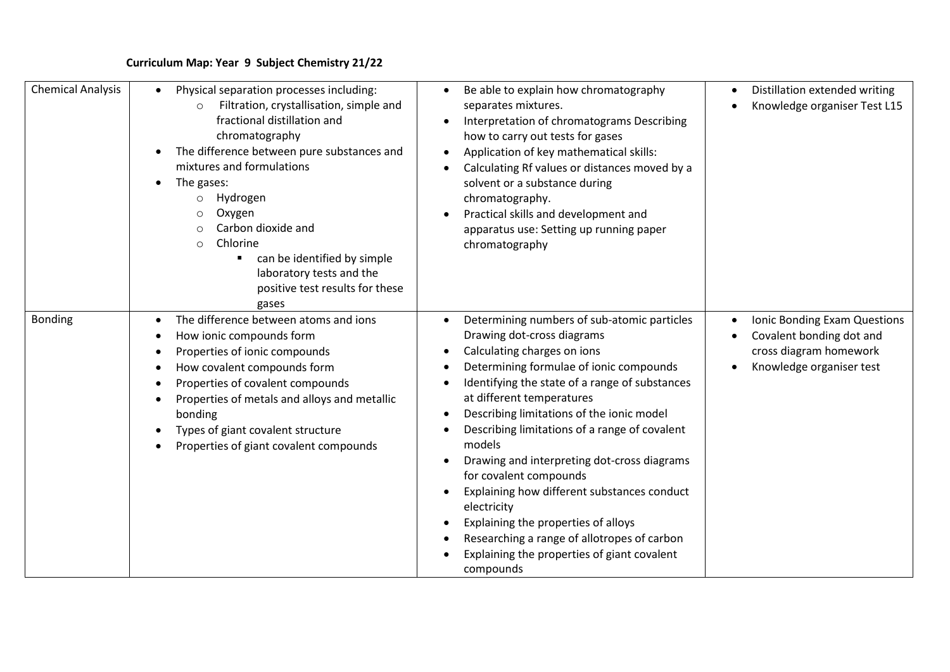## **Curriculum Map: Year 9 Subject Chemistry 21/22**

| <b>Chemical Analysis</b> | Physical separation processes including:<br>$\bullet$<br>Filtration, crystallisation, simple and<br>$\circ$<br>fractional distillation and<br>chromatography<br>The difference between pure substances and<br>mixtures and formulations<br>The gases:<br>$\bullet$<br>Hydrogen<br>$\circ$<br>Oxygen<br>Carbon dioxide and<br>Chlorine<br>∩<br>can be identified by simple<br>laboratory tests and the<br>positive test results for these<br>gases | Be able to explain how chromatography<br>$\bullet$<br>separates mixtures.<br>Interpretation of chromatograms Describing<br>$\bullet$<br>how to carry out tests for gases<br>Application of key mathematical skills:<br>Calculating Rf values or distances moved by a<br>solvent or a substance during<br>chromatography.<br>Practical skills and development and<br>apparatus use: Setting up running paper<br>chromatography                                                                                                                                                                                                                                 | Distillation extended writing<br>$\bullet$<br>Knowledge organiser Test L15                                                  |
|--------------------------|---------------------------------------------------------------------------------------------------------------------------------------------------------------------------------------------------------------------------------------------------------------------------------------------------------------------------------------------------------------------------------------------------------------------------------------------------|---------------------------------------------------------------------------------------------------------------------------------------------------------------------------------------------------------------------------------------------------------------------------------------------------------------------------------------------------------------------------------------------------------------------------------------------------------------------------------------------------------------------------------------------------------------------------------------------------------------------------------------------------------------|-----------------------------------------------------------------------------------------------------------------------------|
| <b>Bonding</b>           | The difference between atoms and ions<br>$\bullet$<br>How ionic compounds form<br>$\bullet$<br>Properties of ionic compounds<br>How covalent compounds form<br>Properties of covalent compounds<br>Properties of metals and alloys and metallic<br>bonding<br>Types of giant covalent structure<br>Properties of giant covalent compounds                                                                                                         | Determining numbers of sub-atomic particles<br>$\bullet$<br>Drawing dot-cross diagrams<br>Calculating charges on ions<br>Determining formulae of ionic compounds<br>Identifying the state of a range of substances<br>at different temperatures<br>Describing limitations of the ionic model<br>$\bullet$<br>Describing limitations of a range of covalent<br>models<br>Drawing and interpreting dot-cross diagrams<br>for covalent compounds<br>Explaining how different substances conduct<br>electricity<br>Explaining the properties of alloys<br>Researching a range of allotropes of carbon<br>Explaining the properties of giant covalent<br>compounds | Ionic Bonding Exam Questions<br>$\bullet$<br>Covalent bonding dot and<br>cross diagram homework<br>Knowledge organiser test |